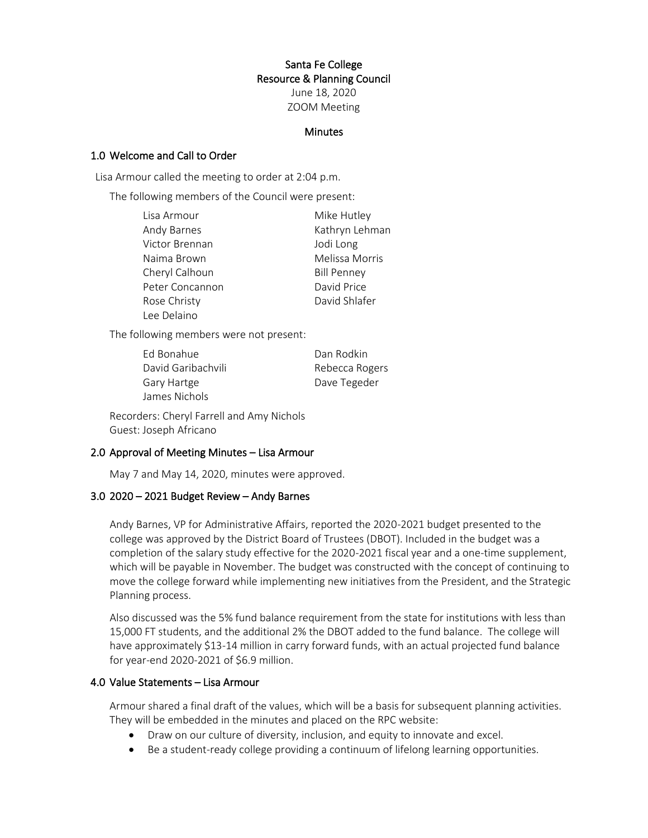## Santa Fe College Resource & Planning Council June 18, 2020 ZOOM Meeting

#### **Minutes**

#### 1.0 Welcome and Call to Order

Lisa Armour called the meeting to order at 2:04 p.m.

The following members of the Council were present:

| Lisa Armour     | Mike Hutley        |
|-----------------|--------------------|
| Andy Barnes     | Kathryn Lehman     |
| Victor Brennan  | Jodi Long          |
| Naima Brown     | Melissa Morris     |
| Cheryl Calhoun  | <b>Bill Penney</b> |
| Peter Concannon | David Price        |
| Rose Christy    | David Shlafer      |
| Lee Delaino     |                    |

The following members were not present:

| Ed Bonahue         | Dan Rodkin     |
|--------------------|----------------|
| David Garibachvili | Rebecca Rogers |
| <b>Gary Hartge</b> | Dave Tegeder   |
| James Nichols      |                |

Recorders: Cheryl Farrell and Amy Nichols Guest: Joseph Africano

#### 2.0 Approval of Meeting Minutes – Lisa Armour

May 7 and May 14, 2020, minutes were approved.

## 3.0 2020 – 2021 Budget Review – Andy Barnes

Andy Barnes, VP for Administrative Affairs, reported the 2020-2021 budget presented to the college was approved by the District Board of Trustees (DBOT). Included in the budget was a completion of the salary study effective for the 2020-2021 fiscal year and a one-time supplement, which will be payable in November. The budget was constructed with the concept of continuing to move the college forward while implementing new initiatives from the President, and the Strategic Planning process.

Also discussed was the 5% fund balance requirement from the state for institutions with less than 15,000 FT students, and the additional 2% the DBOT added to the fund balance. The college will have approximately \$13-14 million in carry forward funds, with an actual projected fund balance for year-end 2020-2021 of \$6.9 million.

## 4.0 Value Statements – Lisa Armour

Armour shared a final draft of the values, which will be a basis for subsequent planning activities. They will be embedded in the minutes and placed on the RPC website:

- Draw on our culture of diversity, inclusion, and equity to innovate and excel.
- Be a student-ready college providing a continuum of lifelong learning opportunities.